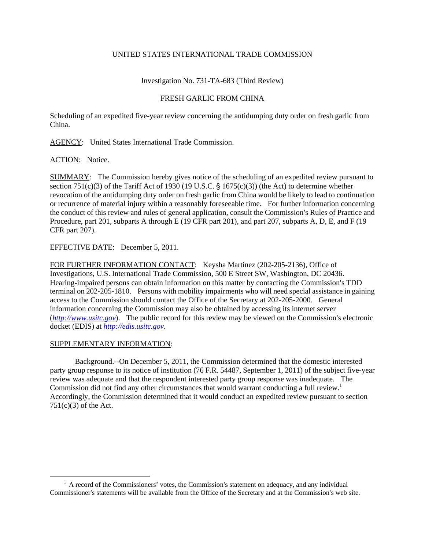## UNITED STATES INTERNATIONAL TRADE COMMISSION

Investigation No. 731-TA-683 (Third Review)

## FRESH GARLIC FROM CHINA

Scheduling of an expedited five-year review concerning the antidumping duty order on fresh garlic from China.

AGENCY: United States International Trade Commission.

ACTION: Notice.

SUMMARY: The Commission hereby gives notice of the scheduling of an expedited review pursuant to section 751(c)(3) of the Tariff Act of 1930 (19 U.S.C.  $\S$  1675(c)(3)) (the Act) to determine whether revocation of the antidumping duty order on fresh garlic from China would be likely to lead to continuation or recurrence of material injury within a reasonably foreseeable time. For further information concerning the conduct of this review and rules of general application, consult the Commission's Rules of Practice and Procedure, part 201, subparts A through E (19 CFR part 201), and part 207, subparts A, D, E, and F (19 CFR part 207).

EFFECTIVE DATE: December 5, 2011.

FOR FURTHER INFORMATION CONTACT: Keysha Martinez (202-205-2136), Office of Investigations, U.S. International Trade Commission, 500 E Street SW, Washington, DC 20436. Hearing-impaired persons can obtain information on this matter by contacting the Commission's TDD terminal on 202-205-1810. Persons with mobility impairments who will need special assistance in gaining access to the Commission should contact the Office of the Secretary at 202-205-2000. General information concerning the Commission may also be obtained by accessing its internet server  $(http://www.ustc.gov)$ . The public record for this review may be viewed on the Commission's electronic docket (EDIS) at *http://edis.usitc.gov*.

## SUPPLEMENTARY INFORMATION:

 $\overline{a}$ 

Background.--On December 5, 2011, the Commission determined that the domestic interested party group response to its notice of institution (76 F.R. 54487, September 1, 2011) of the subject five-year review was adequate and that the respondent interested party group response was inadequate. The Commission did not find any other circumstances that would warrant conducting a full review.<sup>1</sup> Accordingly, the Commission determined that it would conduct an expedited review pursuant to section  $751(c)(3)$  of the Act.

<sup>&</sup>lt;sup>1</sup> A record of the Commissioners' votes, the Commission's statement on adequacy, and any individual Commissioner's statements will be available from the Office of the Secretary and at the Commission's web site.